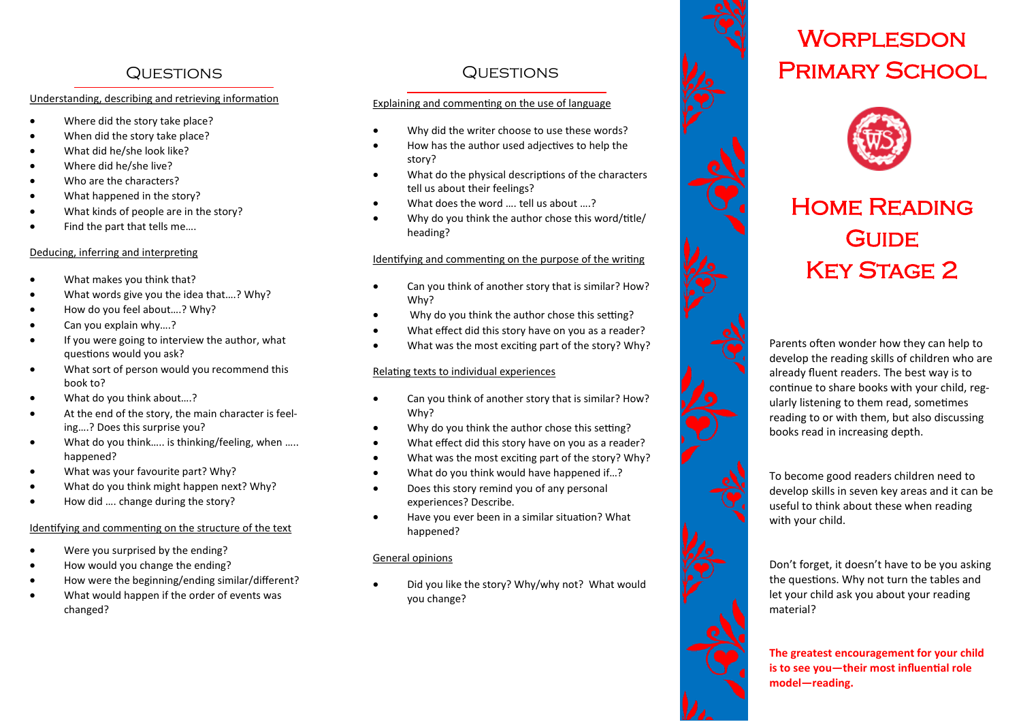## Questions Questions

#### Understanding, describing and retrieving information

- Where did the story take place?
- When did the story take place?
- What did he/she look like?
- Where did he/she live?
- Who are the characters?
- What happened in the story?
- What kinds of people are in the story?
- Find the part that tells me….

#### Deducing, inferring and interpreting

- What makes you think that?
- What words give you the idea that….? Why?
- How do you feel about….? Why?
- Can you explain why….?
- If you were going to interview the author, what questions would you ask?
- What sort of person would you recommend this book to?
- What do you think about….?
- At the end of the story, the main character is feeling….? Does this surprise you?
- What do you think..... is thinking/feeling, when ..... happened?
- What was your favourite part? Why?
- What do you think might happen next? Why?
- How did …. change during the story?

#### Identifying and commenting on the structure of the text

- Were you surprised by the ending?
- How would you change the ending?
- How were the beginning/ending similar/different?
- What would happen if the order of events was changed?

#### Explaining and commenting on the use of language

- Why did the writer choose to use these words?
- How has the author used adjectives to help the story?
- What do the physical descriptions of the characters tell us about their feelings?
- What does the word …. tell us about ….?
- Why do you think the author chose this word/title/ heading?

### Identifying and commenting on the purpose of the writing

- Can you think of another story that is similar? How? Why?
- Why do you think the author chose this setting?
- What effect did this story have on you as a reader?
- What was the most exciting part of the story? Why?

#### Relating texts to individual experiences

- Can you think of another story that is similar? How? Why?
- Why do you think the author chose this setting?
- What effect did this story have on you as a reader?
- What was the most exciting part of the story? Why?
- What do you think would have happened if...?
- Does this story remind you of any personal experiences? Describe.
- Have you ever been in a similar situation? What happened?

#### General opinions

 Did you like the story? Why/why not? What would you change?



## **WORPLESDON** Primary School



# Home Reading **GUIDE KEY STAGE 2**

Parents often wonder how they can help to develop the reading skills of children who are already fluent readers. The best way is to continue to share books with your child, reg ularly listening to them read, sometimes reading to or with them, but also discussing books read in increasing depth.



Don't forget, it doesn't have to be you asking the questions. Why not turn the tables and let your child ask you about your reading material?

**The greatest encouragement for your child is to see you —their most influential role model —reading.**